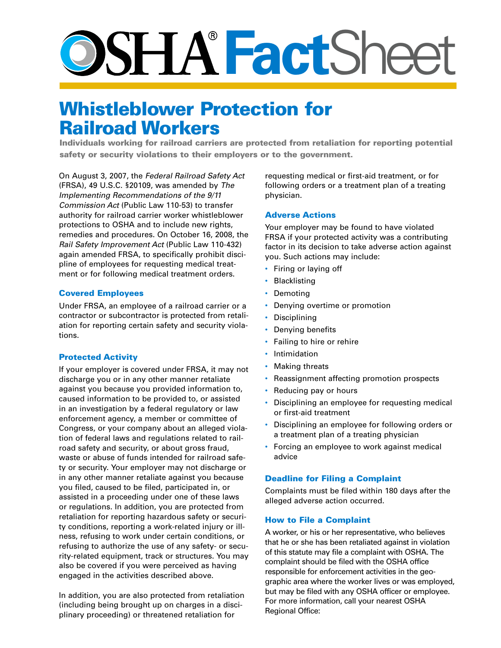# **Fact**Sheet

# Whistleblower Protection for Railroad Workers

Individuals working for railroad carriers are protected from retaliation for reporting potential safety or security violations to their employers or to the government.

On August 3, 2007, the *Federal Railroad Safety Act* (FRSA), 49 U.S.C. §20109, was amended by *The Implementing Recommendations of the 9/11 Commission Act* (Public Law 110-53) to transfer authority for railroad carrier worker whistleblower protections to OSHA and to include new rights, remedies and procedures. On October 16, 2008, the *Rail Safety Improvement Act* (Public Law 110-432) again amended FRSA, to specifically prohibit discipline of employees for requesting medical treatment or for following medical treatment orders.

#### Covered Employees

Under FRSA, an employee of a railroad carrier or a contractor or subcontractor is protected from retaliation for reporting certain safety and security violations.

#### Protected Activity

If your employer is covered under FRSA, it may not discharge you or in any other manner retaliate against you because you provided information to, caused information to be provided to, or assisted in an investigation by a federal regulatory or law enforcement agency, a member or committee of Congress, or your company about an alleged violation of federal laws and regulations related to railroad safety and security, or about gross fraud, waste or abuse of funds intended for railroad safety or security. Your employer may not discharge or in any other manner retaliate against you because you filed, caused to be filed, participated in, or assisted in a proceeding under one of these laws or regulations. In addition, you are protected from retaliation for reporting hazardous safety or security conditions, reporting a work-related injury or illness, refusing to work under certain conditions, or refusing to authorize the use of any safety- or security-related equipment, track or structures. You may also be covered if you were perceived as having engaged in the activities described above.

In addition, you are also protected from retaliation (including being brought up on charges in a disciplinary proceeding) or threatened retaliation for

requesting medical or first-aid treatment, or for following orders or a treatment plan of a treating physician.

#### Adverse Actions

Your employer may be found to have violated FRSA if your protected activity was a contributing factor in its decision to take adverse action against you. Such actions may include:

- Firing or laying off
- Blacklisting
- **Demoting**
- Denying overtime or promotion
- Disciplining
- Denying benefits
- Failing to hire or rehire
- **Intimidation**
- Making threats
- Reassignment affecting promotion prospects
- Reducing pay or hours
- Disciplining an employee for requesting medical or first-aid treatment
- Disciplining an employee for following orders or a treatment plan of a treating physician
- Forcing an employee to work against medical advice

#### Deadline for Filing a Complaint

Complaints must be filed within 180 days after the alleged adverse action occurred.

#### How to File a Complaint

A worker, or his or her representative, who believes that he or she has been retaliated against in violation of this statute may file a complaint with OSHA. The complaint should be filed with the OSHA office responsible for enforcement activities in the geographic area where the worker lives or was employed, but may be filed with any OSHA officer or employee. For more information, call your nearest OSHA Regional Office: